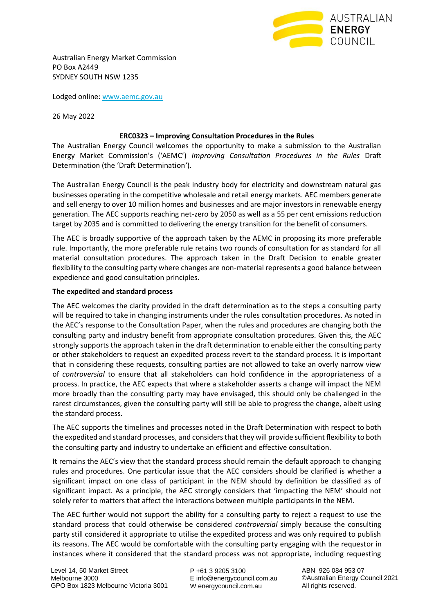

Australian Energy Market Commission PO Box A2449 SYDNEY SOUTH NSW 1235

Lodged online: [www.aemc.gov.au](http://www.aemc.gov.au/)

26 May 2022

## **ERC0323 – Improving Consultation Procedures in the Rules**

The Australian Energy Council welcomes the opportunity to make a submission to the Australian Energy Market Commission's ('AEMC') *Improving Consultation Procedures in the Rules* Draft Determination (the 'Draft Determination*'*).

The Australian Energy Council is the peak industry body for electricity and downstream natural gas businesses operating in the competitive wholesale and retail energy markets. AEC members generate and sell energy to over 10 million homes and businesses and are major investors in renewable energy generation. The AEC supports reaching net-zero by 2050 as well as a 55 per cent emissions reduction target by 2035 and is committed to delivering the energy transition for the benefit of consumers.

The AEC is broadly supportive of the approach taken by the AEMC in proposing its more preferable rule. Importantly, the more preferable rule retains two rounds of consultation for as standard for all material consultation procedures. The approach taken in the Draft Decision to enable greater flexibility to the consulting party where changes are non-material represents a good balance between expedience and good consultation principles.

## **The expedited and standard process**

The AEC welcomes the clarity provided in the draft determination as to the steps a consulting party will be required to take in changing instruments under the rules consultation procedures. As noted in the AEC's response to the Consultation Paper, when the rules and procedures are changing both the consulting party and industry benefit from appropriate consultation procedures. Given this, the AEC strongly supports the approach taken in the draft determination to enable either the consulting party or other stakeholders to request an expedited process revert to the standard process. It is important that in considering these requests, consulting parties are not allowed to take an overly narrow view of *controversial* to ensure that all stakeholders can hold confidence in the appropriateness of a process. In practice, the AEC expects that where a stakeholder asserts a change will impact the NEM more broadly than the consulting party may have envisaged, this should only be challenged in the rarest circumstances, given the consulting party will still be able to progress the change, albeit using the standard process.

The AEC supports the timelines and processes noted in the Draft Determination with respect to both the expedited and standard processes, and considers that they will provide sufficient flexibility to both the consulting party and industry to undertake an efficient and effective consultation.

It remains the AEC's view that the standard process should remain the default approach to changing rules and procedures. One particular issue that the AEC considers should be clarified is whether a significant impact on one class of participant in the NEM should by definition be classified as of significant impact. As a principle, the AEC strongly considers that 'impacting the NEM' should not solely refer to matters that affect the interactions between multiple participants in the NEM.

The AEC further would not support the ability for a consulting party to reject a request to use the standard process that could otherwise be considered *controversial* simply because the consulting party still considered it appropriate to utilise the expedited process and was only required to publish its reasons. The AEC would be comfortable with the consulting party engaging with the requestor in instances where it considered that the standard process was not appropriate, including requesting

P +61 3 9205 3100 E info@energycouncil.com.au W energycouncil.com.au